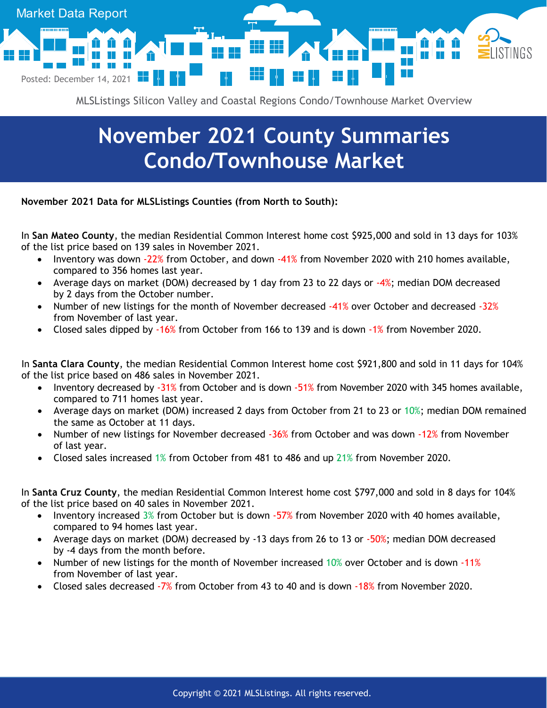

MLSListings Silicon Valley and Coastal Regions Condo/Townhouse Market Overview

## **November 2021 County Summaries Condo/Townhouse Market**

**November 2021 Data for MLSListings Counties (from North to South):**

In **San Mateo County**, the median Residential Common Interest home cost \$925,000 and sold in 13 days for 103% of the list price based on 139 sales in November 2021.

- Inventory was down -22% from October, and down -41% from November 2020 with 210 homes available, compared to 356 homes last year.
- Average days on market (DOM) decreased by 1 day from 23 to 22 days or  $-4\%$ ; median DOM decreased by 2 days from the October number.
- Number of new listings for the month of November decreased -41% over October and decreased -32% from November of last year.
- Closed sales dipped by -16% from October from 166 to 139 and is down -1% from November 2020.

In **Santa Clara County**, the median Residential Common Interest home cost \$921,800 and sold in 11 days for 104% of the list price based on 486 sales in November 2021.

- Inventory decreased by -31% from October and is down -51% from November 2020 with 345 homes available, compared to 711 homes last year.
- Average days on market (DOM) increased 2 days from October from 21 to 23 or 10%; median DOM remained the same as October at 11 days.
- Number of new listings for November decreased -36% from October and was down -12% from November of last year.
- Closed sales increased 1% from October from 481 to 486 and up 21% from November 2020.

In **Santa Cruz County**, the median Residential Common Interest home cost \$797,000 and sold in 8 days for 104% of the list price based on 40 sales in November 2021.

- Inventory increased 3% from October but is down -57% from November 2020 with 40 homes available, compared to 94 homes last year.
- Average days on market (DOM) decreased by -13 days from 26 to 13 or -50%; median DOM decreased by -4 days from the month before.
- Number of new listings for the month of November increased 10% over October and is down -11% from November of last year.
- Closed sales decreased -7% from October from 43 to 40 and is down -18% from November 2020.